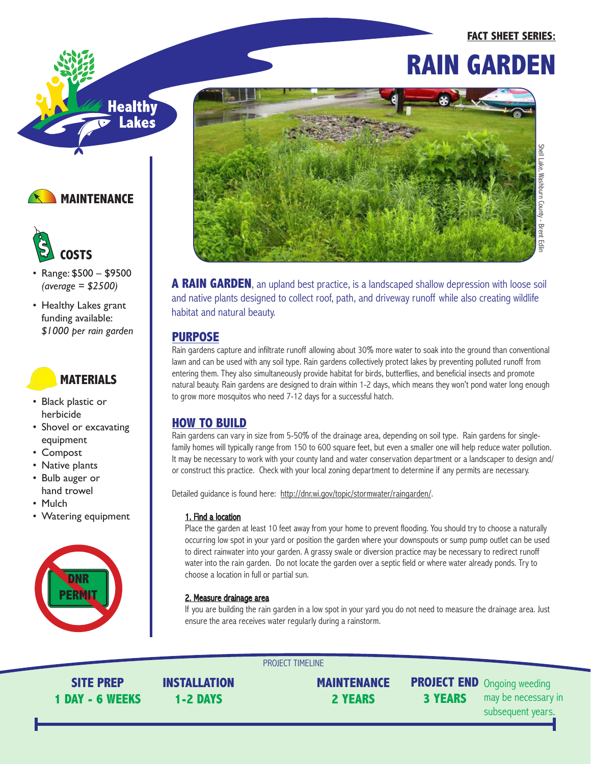# Healthy<br>F Lakes





- Range: \$500 \$9500 *(average = \$2500)*
- Healthy Lakes grant funding available: *\$1000 per rain garden*

# **MATERIALS**

- Black plastic or herbicide
- Shovel or excavating equipment
- Compost
- Native plants
- Bulb auger or hand trowel
- Mulch
- Watering equipment





**A RAIN GARDEN**, an upland best practice, is a landscaped shallow depression with loose soil and native plants designed to collect roof, path, and driveway runoff while also creating wildlife habitat and natural beauty.

## **PURPOSE**

Rain gardens capture and infiltrate runoff allowing about 30% more water to soak into the ground than conventional lawn and can be used with any soil type. Rain gardens collectively protect lakes by preventing polluted runoff from entering them. They also simultaneously provide habitat for birds, butterflies, and beneficial insects and promote natural beauty. Rain gardens are designed to drain within 1-2 days, which means they won't pond water long enough to grow more mosquitos who need 7-12 days for a successful hatch.

## **HOW TO BUILD**

Rain gardens can vary in size from 5-50% of the drainage area, depending on soil type. Rain gardens for singlefamily homes will typically range from 150 to 600 square feet, but even a smaller one will help reduce water pollution. It may be necessary to work with your county land and water conservation department or a landscaper to design and/ or construct this practice. Check with your local zoning department to determine if any permits are necessary.

Detailed guidance is found here: http://dnr.wi.gov/topic/stormwater/raingarden/.

PROJECT TIMELINE

### 1. Find a location

Place the garden at least 10 feet away from your home to prevent flooding. You should try to choose a naturally occurring low spot in your yard or position the garden where your downspouts or sump pump outlet can be used to direct rainwater into your garden. A grassy swale or diversion practice may be necessary to redirect runoff water into the rain garden. Do not locate the garden over a septic field or where water already ponds. Try to choose a location in full or partial sun.

## 2. Measure drainage area

If you are building the rain garden in a low spot in your yard you do not need to measure the drainage area. Just ensure the area receives water regularly during a rainstorm.

**SITE PREP 1 DAY - 6 WEEKS** **INSTALLATION 1-2 DAYS**

**MAINTENANCE 2 YEARS**

**3 YEARS**

**PROJECT END** Ongoing weeding may be necessary in subsequent years.

**FACT SHEET SERIES:**

**RAIN GARDEN**